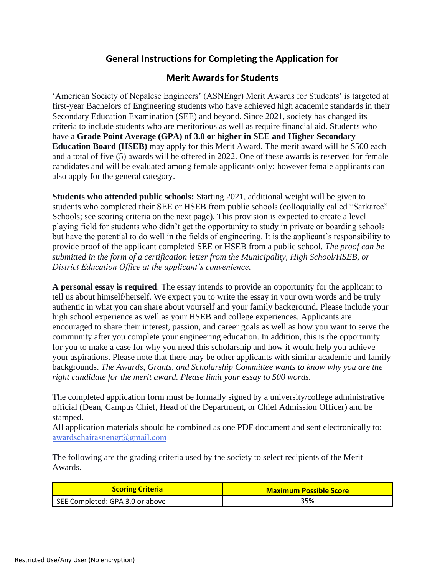## **General Instructions for Completing the Application for**

## **Merit Awards for Students**

'American Society of Nepalese Engineers' (ASNEngr) Merit Awards for Students' is targeted at first-year Bachelors of Engineering students who have achieved high academic standards in their Secondary Education Examination (SEE) and beyond. Since 2021, society has changed its criteria to include students who are meritorious as well as require financial aid. Students who have a **Grade Point Average (GPA) of 3.0 or higher in SEE and Higher Secondary Education Board (HSEB)** may apply for this Merit Award. The merit award will be \$500 each and a total of five (5) awards will be offered in 2022. One of these awards is reserved for female candidates and will be evaluated among female applicants only; however female applicants can also apply for the general category.

**Students who attended public schools:** Starting 2021, additional weight will be given to students who completed their SEE or HSEB from public schools (colloquially called "Sarkaree" Schools; see scoring criteria on the next page). This provision is expected to create a level playing field for students who didn't get the opportunity to study in private or boarding schools but have the potential to do well in the fields of engineering. It is the applicant's responsibility to provide proof of the applicant completed SEE or HSEB from a public school. *The proof can be submitted in the form of a certification letter from the Municipality, High School/HSEB, or District Education Office at the applicant's convenience.*

**A personal essay is required**. The essay intends to provide an opportunity for the applicant to tell us about himself/herself. We expect you to write the essay in your own words and be truly authentic in what you can share about yourself and your family background. Please include your high school experience as well as your HSEB and college experiences. Applicants are encouraged to share their interest, passion, and career goals as well as how you want to serve the community after you complete your engineering education. In addition, this is the opportunity for you to make a case for why you need this scholarship and how it would help you achieve your aspirations. Please note that there may be other applicants with similar academic and family backgrounds. *The Awards, Grants, and Scholarship Committee wants to know why you are the right candidate for the merit award. Please limit your essay to 500 words.*

The completed application form must be formally signed by a university/college administrative official (Dean, Campus Chief, Head of the Department, or Chief Admission Officer) and be stamped.

All application materials should be combined as one PDF document and sent electronically to: [awardschairasnengr@gmai](mailto:awardschair@asnengr.org)l.com

The following are the grading criteria used by the society to select recipients of the Merit Awards.

| <b>Scoring Criteria</b>         | <b>Maximum Possible Score</b> |
|---------------------------------|-------------------------------|
| SEE Completed: GPA 3.0 or above | 35%                           |